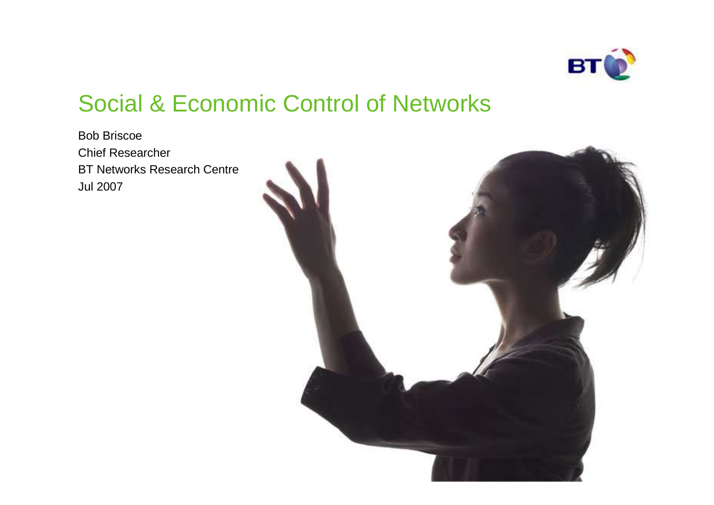

## Social & Economic Control of Networks

Bob Briscoe Chief ResearcherBT Networks Research CentreJul 2007

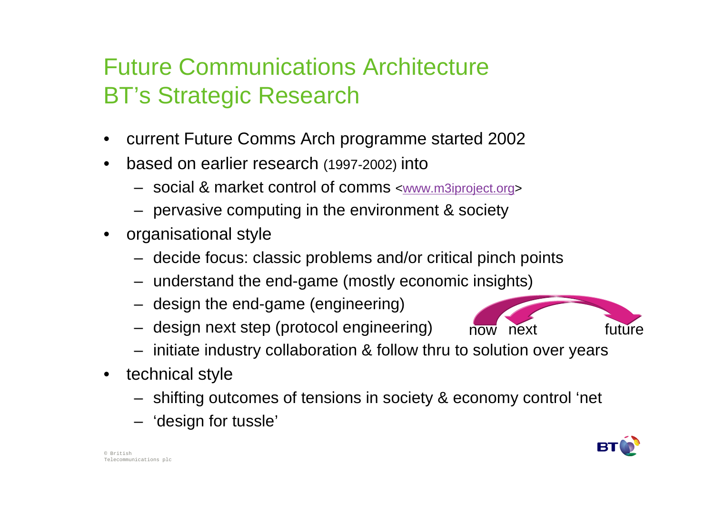## Future Communications ArchitectureBT's Strategic Research

- •current Future Comms Arch programme started 2002
- • based on earlier research (1997-2002) into
	- social & market control of comms <www.m3iproject.org>
	- pervasive computing in the environment & society
- organisational style
	- decide focus: classic problems and/or critical pinch points
	- understand the end-game (mostly economic insights)
	- design the end-game (engineering)
	- design next step (protocol engineering)
	- initiate industry collaboration & follow thru to solution over years

now

- technical style
	- shifting outcomes of tensions in society & economy control 'net
	- 'design for tussle'



next future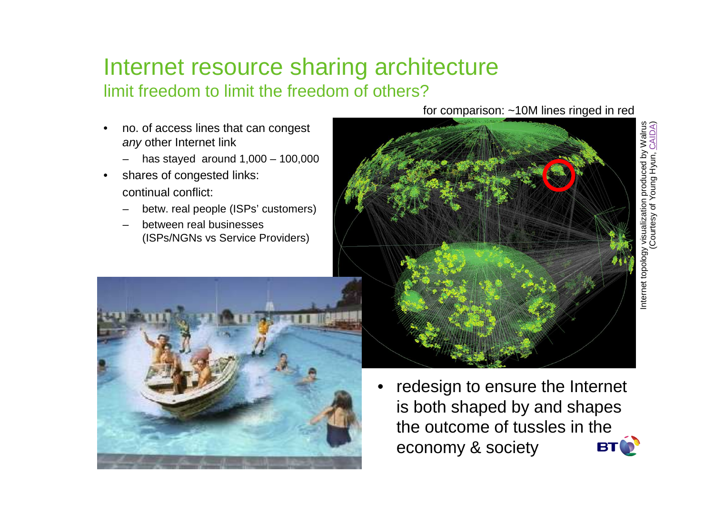#### Internet resource sharing architecturelimit freedom to limit the freedom of others?

- • no. of access lines that can congest *any* other Internet link
	- has stayed around 1,000 100,000
- • shares of congested links: continual conflict:
	- betw. real people (ISPs' customers)
	- between real businesses(ISPs/NGNs vs Service Providers)



 redesign to ensure the Internet •is both shaped by and shapes the outcome of tussles in the economy & society**BT** 

for comparison: ~10M lines ringed in red

Internet topology visualization produced by Walrus

nternet topology

(Courtesy of Young Hyun, CAIDA)

visualization produced by Walrus<br>Courtesy of Young Hyun, CAIDA)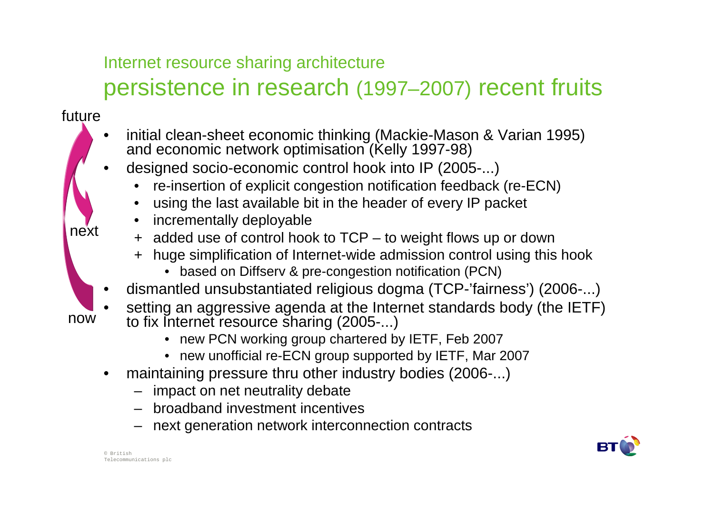#### Internet resource sharing architecture

# persistence in research (1997–2007) recent fruits

#### future

- • initial clean-sheet economic thinking (Mackie-Mason & Varian 1995) and economic network optimisation (Kelly 1997-98)
- designed socio-economic control hook into IP (2005-...)•
	- re-insertion of explicit congestion notification feedback (re-ECN)•
	- •using the last available bit in the header of every IP packet
	- •incrementally deployable
	- + added use of control hook to TCP to weight flows up or down
		- + huge simplification of Internet-wide admission control using this hook
			- based on Diffserv & pre-congestion notification (PCN)
- •dismantled unsubstantiated religious dogma (TCP-'fairness') (2006-...)
- now

next

- setting an aggressive agenda at the Internet standards body (the IETF) •to fix Internet resource sharing (2005-...)
	- new PCN working group chartered by IETF, Feb 2007
	- new unofficial re-ECN group supported by IETF, Mar 2007
- • maintaining pressure thru other industry bodies (2006-...)
	- impact on net neutrality debate
	- broadband investment incentives
	- next generation network interconnection contracts

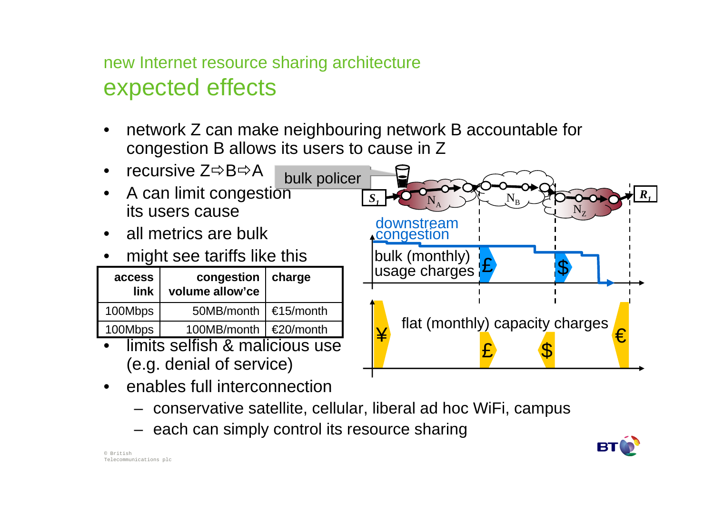#### new Internet resource sharing architectureexpected effects

• network Z can make neighbouring network B accountable for congestion B allows its users to cause in Z



- • enables full interconnection
	- conservative satellite, cellular, liberal ad hoc WiFi, campus
	- each can simply control its resource sharing

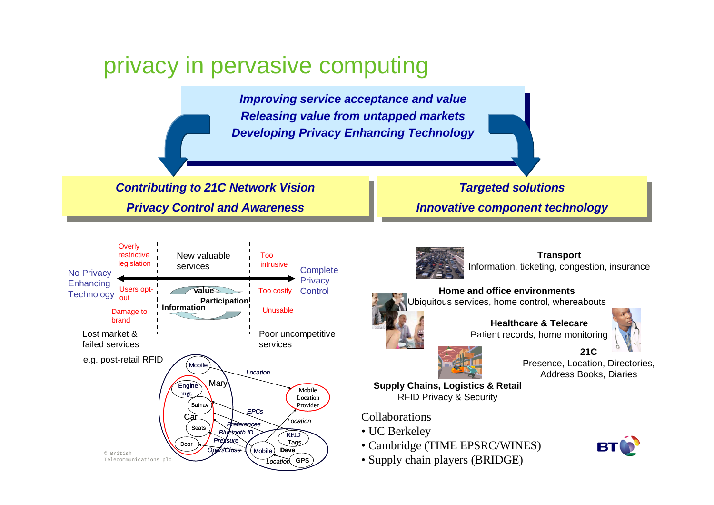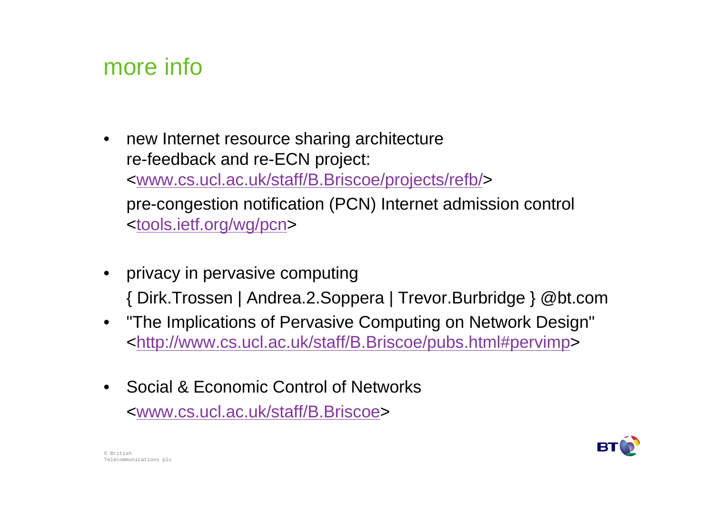## more info

- • new Internet resource sharing architecturere-feedback and re-ECN project: <www.cs.ucl.ac.uk/staff/B.Briscoe/projects/refb/> pre-congestion notification (PCN) Internet admission control<tools.ietf.org/wg/pcn>
- privacy in pervasive computing{ Dirk.Trossen | Andrea.2.Soppera | Trevor.Burbridge } @bt.com
- "The Implications of Pervasive Computing on Network Design"•<http://www.cs.ucl.ac.uk/staff/B.Briscoe/pubs.html#pervimp>
- Social & Economic Control of Networks<www.cs.ucl.ac.uk/staff/B.Briscoe>

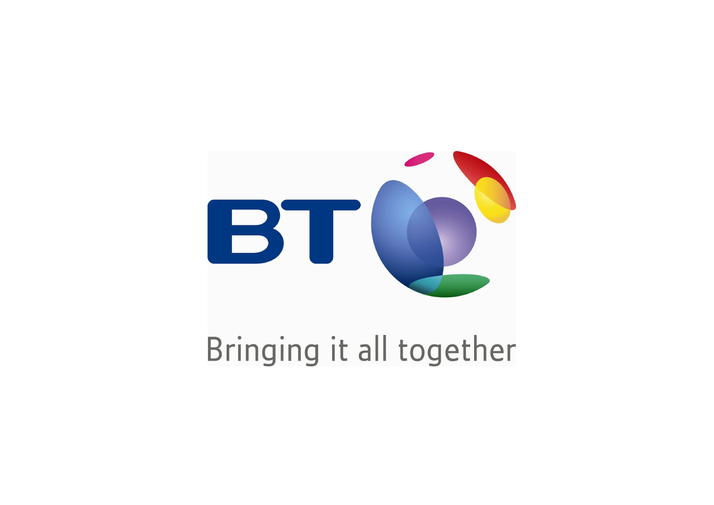

# Bringing it all together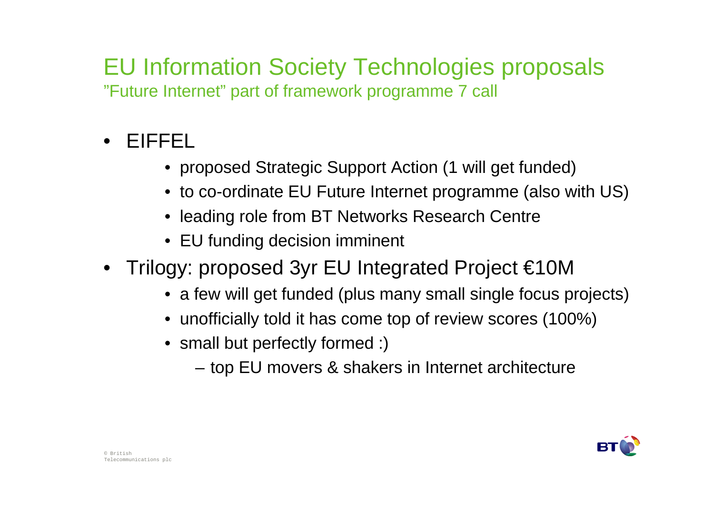### EU Information Society Technologies proposals"Future Internet" part of framework programme 7 call

- $\bullet$  EIFFEL
	- proposed Strategic Support Action (1 will get funded)
	- to co-ordinate EU Future Internet programme (also with US)
	- leading role from BT Networks Research Centre
	- EU funding decision imminent
- Trilogy: proposed 3yr EU Integrated Project €10M
	- a few will get funded (plus many small single focus projects)
	- unofficially told it has come top of review scores (100%)
	- small but perfectly formed :)
		- –top EU movers & shakers in Internet architecture